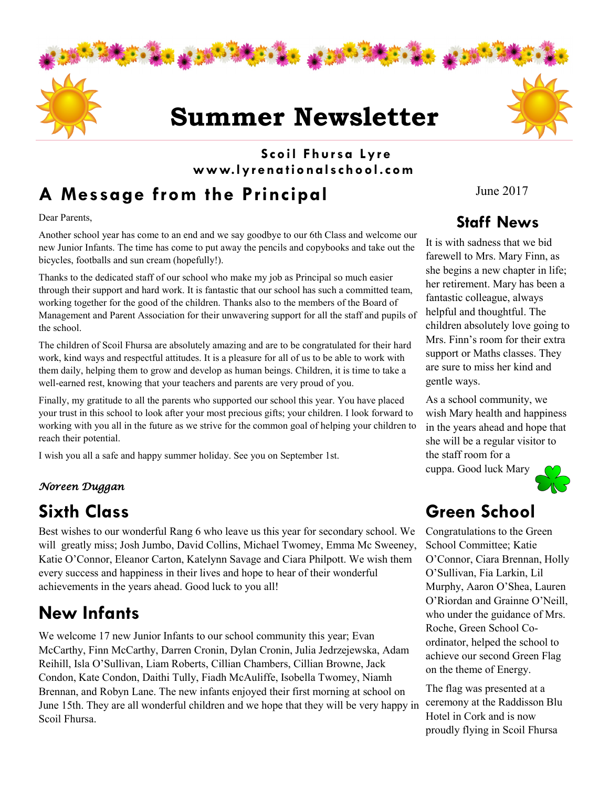

#### **Scoil Fhur sa Lyr e www.lyr ena tio nalschool.com**

# **A Message from the Principal**

Dear Parents,

Another school year has come to an end and we say goodbye to our 6th Class and welcome our new Junior Infants. The time has come to put away the pencils and copybooks and take out the bicycles, footballs and sun cream (hopefully!).

Thanks to the dedicated staff of our school who make my job as Principal so much easier through their support and hard work. It is fantastic that our school has such a committed team, working together for the good of the children. Thanks also to the members of the Board of Management and Parent Association for their unwavering support for all the staff and pupils of the school.

The children of Scoil Fhursa are absolutely amazing and are to be congratulated for their hard work, kind ways and respectful attitudes. It is a pleasure for all of us to be able to work with them daily, helping them to grow and develop as human beings. Children, it is time to take a well-earned rest, knowing that your teachers and parents are very proud of you.

Finally, my gratitude to all the parents who supported our school this year. You have placed your trust in this school to look after your most precious gifts; your children. I look forward to working with you all in the future as we strive for the common goal of helping your children to reach their potential.

I wish you all a safe and happy summer holiday. See you on September 1st.

#### *Noreen Duggan*

### **Sixth Class**

Best wishes to our wonderful Rang 6 who leave us this year for secondary school. We will greatly miss; Josh Jumbo, David Collins, Michael Twomey, Emma Mc Sweeney, Katie O'Connor, Eleanor Carton, Katelynn Savage and Ciara Philpott. We wish them every success and happiness in their lives and hope to hear of their wonderful achievements in the years ahead. Good luck to you all!

### **New Infants**

We welcome 17 new Junior Infants to our school community this year; Evan McCarthy, Finn McCarthy, Darren Cronin, Dylan Cronin, Julia Jedrzejewska, Adam Reihill, Isla O'Sullivan, Liam Roberts, Cillian Chambers, Cillian Browne, Jack Condon, Kate Condon, Daithi Tully, Fiadh McAuliffe, Isobella Twomey, Niamh Brennan, and Robyn Lane. The new infants enjoyed their first morning at school on June 15th. They are all wonderful children and we hope that they will be very happy in Scoil Fhursa.

June 2017

#### **Staff News**

It is with sadness that we bid farewell to Mrs. Mary Finn, as she begins a new chapter in life; her retirement. Mary has been a fantastic colleague, always helpful and thoughtful. The children absolutely love going to Mrs. Finn's room for their extra support or Maths classes. They are sure to miss her kind and gentle ways.

As a school community, we wish Mary health and happiness in the years ahead and hope that she will be a regular visitor to the staff room for a cuppa. Good luck Mary



### **Green School**

Congratulations to the Green School Committee; Katie O'Connor, Ciara Brennan, Holly O'Sullivan, Fia Larkin, Lil Murphy, Aaron O'Shea, Lauren O'Riordan and Grainne O'Neill, who under the guidance of Mrs. Roche, Green School Coordinator, helped the school to achieve our second Green Flag on the theme of Energy.

The flag was presented at a ceremony at the Raddisson Blu Hotel in Cork and is now proudly flying in Scoil Fhursa